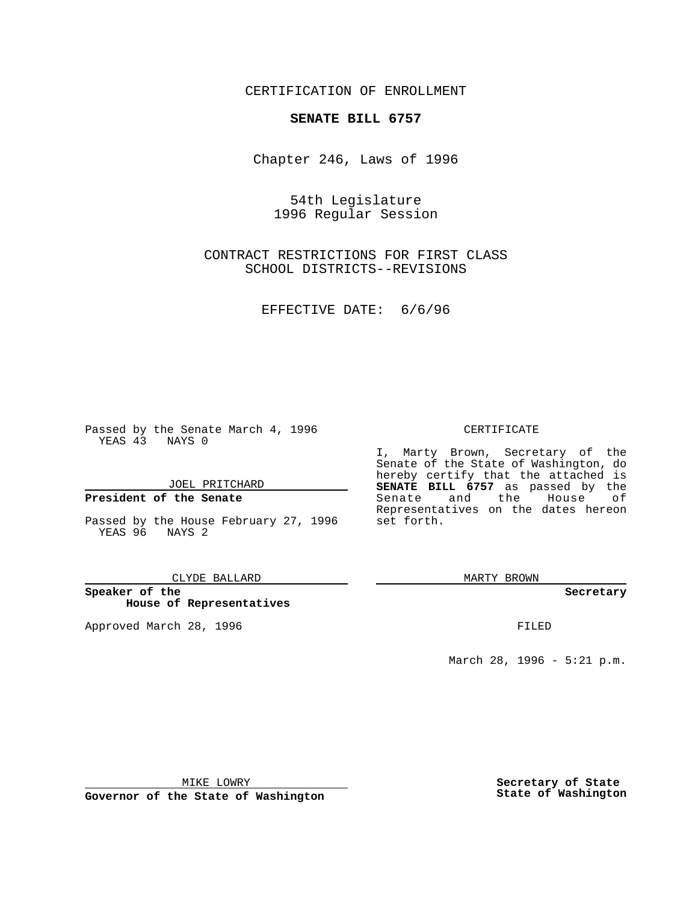CERTIFICATION OF ENROLLMENT

## **SENATE BILL 6757**

Chapter 246, Laws of 1996

54th Legislature 1996 Regular Session

CONTRACT RESTRICTIONS FOR FIRST CLASS SCHOOL DISTRICTS--REVISIONS

EFFECTIVE DATE: 6/6/96

Passed by the Senate March 4, 1996 YEAS 43 NAYS 0

JOEL PRITCHARD

**President of the Senate**

Passed by the House February 27, 1996 set forth. YEAS 96 NAYS 2

CLYDE BALLARD

**Speaker of the House of Representatives**

Approved March 28, 1996 FILED

## CERTIFICATE

I, Marty Brown, Secretary of the Senate of the State of Washington, do hereby certify that the attached is **SENATE BILL 6757** as passed by the Senate and the House of Representatives on the dates hereon

MARTY BROWN

**Secretary**

March 28, 1996 - 5:21 p.m.

MIKE LOWRY

**Governor of the State of Washington**

**Secretary of State State of Washington**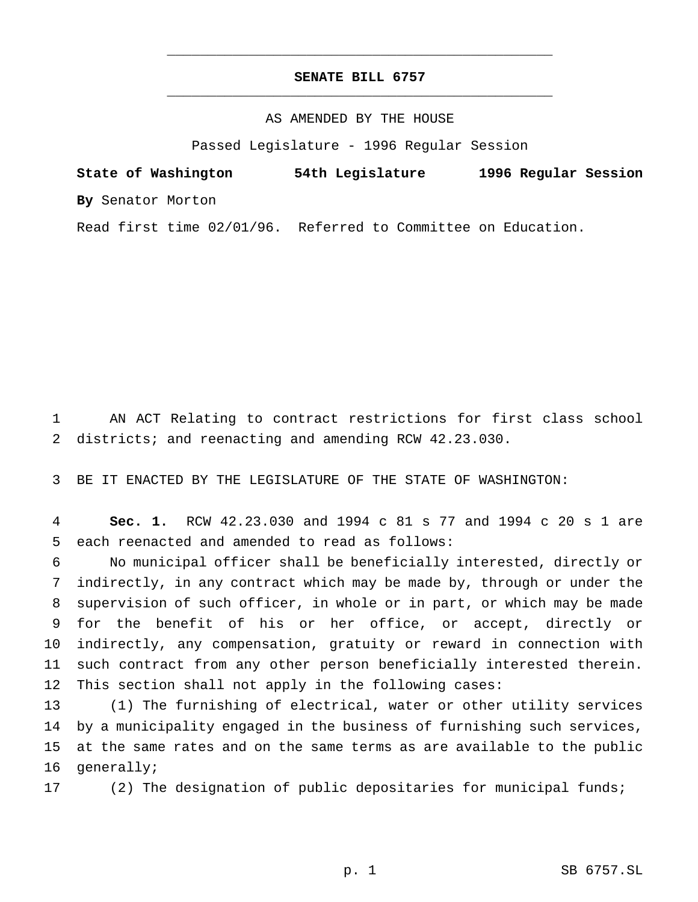## **SENATE BILL 6757** \_\_\_\_\_\_\_\_\_\_\_\_\_\_\_\_\_\_\_\_\_\_\_\_\_\_\_\_\_\_\_\_\_\_\_\_\_\_\_\_\_\_\_\_\_\_\_

\_\_\_\_\_\_\_\_\_\_\_\_\_\_\_\_\_\_\_\_\_\_\_\_\_\_\_\_\_\_\_\_\_\_\_\_\_\_\_\_\_\_\_\_\_\_\_

## AS AMENDED BY THE HOUSE

Passed Legislature - 1996 Regular Session

**State of Washington 54th Legislature 1996 Regular Session By** Senator Morton

Read first time 02/01/96. Referred to Committee on Education.

 AN ACT Relating to contract restrictions for first class school districts; and reenacting and amending RCW 42.23.030.

BE IT ENACTED BY THE LEGISLATURE OF THE STATE OF WASHINGTON:

 **Sec. 1.** RCW 42.23.030 and 1994 c 81 s 77 and 1994 c 20 s 1 are each reenacted and amended to read as follows:

 No municipal officer shall be beneficially interested, directly or indirectly, in any contract which may be made by, through or under the supervision of such officer, in whole or in part, or which may be made for the benefit of his or her office, or accept, directly or indirectly, any compensation, gratuity or reward in connection with such contract from any other person beneficially interested therein. This section shall not apply in the following cases:

 (1) The furnishing of electrical, water or other utility services by a municipality engaged in the business of furnishing such services, at the same rates and on the same terms as are available to the public generally;

(2) The designation of public depositaries for municipal funds;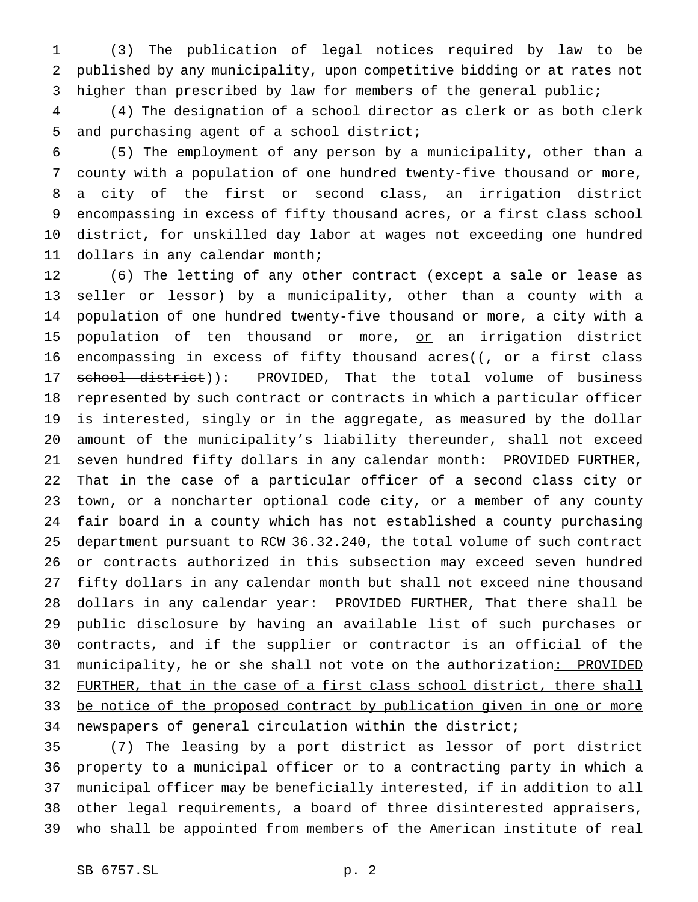(3) The publication of legal notices required by law to be published by any municipality, upon competitive bidding or at rates not higher than prescribed by law for members of the general public;

 (4) The designation of a school director as clerk or as both clerk and purchasing agent of a school district;

 (5) The employment of any person by a municipality, other than a county with a population of one hundred twenty-five thousand or more, a city of the first or second class, an irrigation district encompassing in excess of fifty thousand acres, or a first class school district, for unskilled day labor at wages not exceeding one hundred dollars in any calendar month;

 (6) The letting of any other contract (except a sale or lease as seller or lessor) by a municipality, other than a county with a population of one hundred twenty-five thousand or more, a city with a 15 population of ten thousand or more, or an irrigation district 16 encompassing in excess of fifty thousand acres( $(-$  or a first class 17 school district)): PROVIDED, That the total volume of business represented by such contract or contracts in which a particular officer is interested, singly or in the aggregate, as measured by the dollar amount of the municipality's liability thereunder, shall not exceed seven hundred fifty dollars in any calendar month: PROVIDED FURTHER, That in the case of a particular officer of a second class city or town, or a noncharter optional code city, or a member of any county fair board in a county which has not established a county purchasing department pursuant to RCW 36.32.240, the total volume of such contract or contracts authorized in this subsection may exceed seven hundred fifty dollars in any calendar month but shall not exceed nine thousand dollars in any calendar year: PROVIDED FURTHER, That there shall be public disclosure by having an available list of such purchases or contracts, and if the supplier or contractor is an official of the 31 municipality, he or she shall not vote on the authorization: PROVIDED 32 FURTHER, that in the case of a first class school district, there shall 33 be notice of the proposed contract by publication given in one or more 34 newspapers of general circulation within the district;

 (7) The leasing by a port district as lessor of port district property to a municipal officer or to a contracting party in which a municipal officer may be beneficially interested, if in addition to all other legal requirements, a board of three disinterested appraisers, who shall be appointed from members of the American institute of real